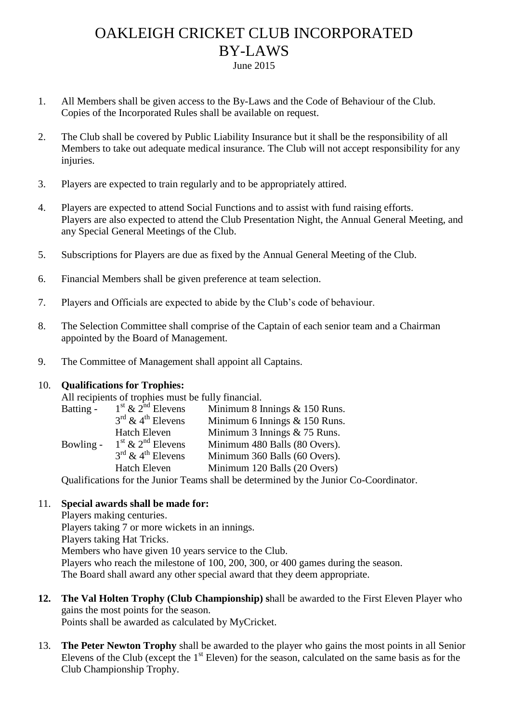## OAKLEIGH CRICKET CLUB INCORPORATED BY-LAWS June 2015

- 1. All Members shall be given access to the By-Laws and the Code of Behaviour of the Club. Copies of the Incorporated Rules shall be available on request.
- 2. The Club shall be covered by Public Liability Insurance but it shall be the responsibility of all Members to take out adequate medical insurance. The Club will not accept responsibility for any injuries.
- 3. Players are expected to train regularly and to be appropriately attired.
- 4. Players are expected to attend Social Functions and to assist with fund raising efforts. Players are also expected to attend the Club Presentation Night, the Annual General Meeting, and any Special General Meetings of the Club.
- 5. Subscriptions for Players are due as fixed by the Annual General Meeting of the Club.
- 6. Financial Members shall be given preference at team selection.
- 7. Players and Officials are expected to abide by the Club's code of behaviour.
- 8. The Selection Committee shall comprise of the Captain of each senior team and a Chairman appointed by the Board of Management.
- 9. The Committee of Management shall appoint all Captains.

## 10. **Qualifications for Trophies:**

All recipients of trophies must be fully financial.

| Batting -                                                                             | $1st$ & $2nd$ Elevens                     | Minimum 8 Innings & 150 Runs.  |
|---------------------------------------------------------------------------------------|-------------------------------------------|--------------------------------|
|                                                                                       | $3^{\text{rd}}$ & 4 <sup>th</sup> Elevens | Minimum 6 Innings & 150 Runs.  |
|                                                                                       | <b>Hatch Eleven</b>                       | Minimum 3 Innings $& 75$ Runs. |
| Bowling -                                                                             | $1st$ & $2nd$ Elevens                     | Minimum 480 Balls (80 Overs).  |
|                                                                                       | $3^{\text{rd}}$ & 4 <sup>th</sup> Elevens | Minimum 360 Balls (60 Overs).  |
|                                                                                       | <b>Hatch Eleven</b>                       | Minimum 120 Balls (20 Overs)   |
| Qualifications for the Junior Teams shall be determined by the Junior Co-Coordinator. |                                           |                                |

## 11. **Special awards shall be made for:**

Players making centuries. Players taking 7 or more wickets in an innings. Players taking Hat Tricks. Members who have given 10 years service to the Club. Players who reach the milestone of 100, 200, 300, or 400 games during the season. The Board shall award any other special award that they deem appropriate.

- **12. The Val Holten Trophy (Club Championship) s**hall be awarded to the First Eleven Player who gains the most points for the season. Points shall be awarded as calculated by MyCricket.
- 13. **The Peter Newton Trophy** shall be awarded to the player who gains the most points in all Senior Elevens of the Club (except the  $1<sup>st</sup>$  Eleven) for the season, calculated on the same basis as for the Club Championship Trophy.